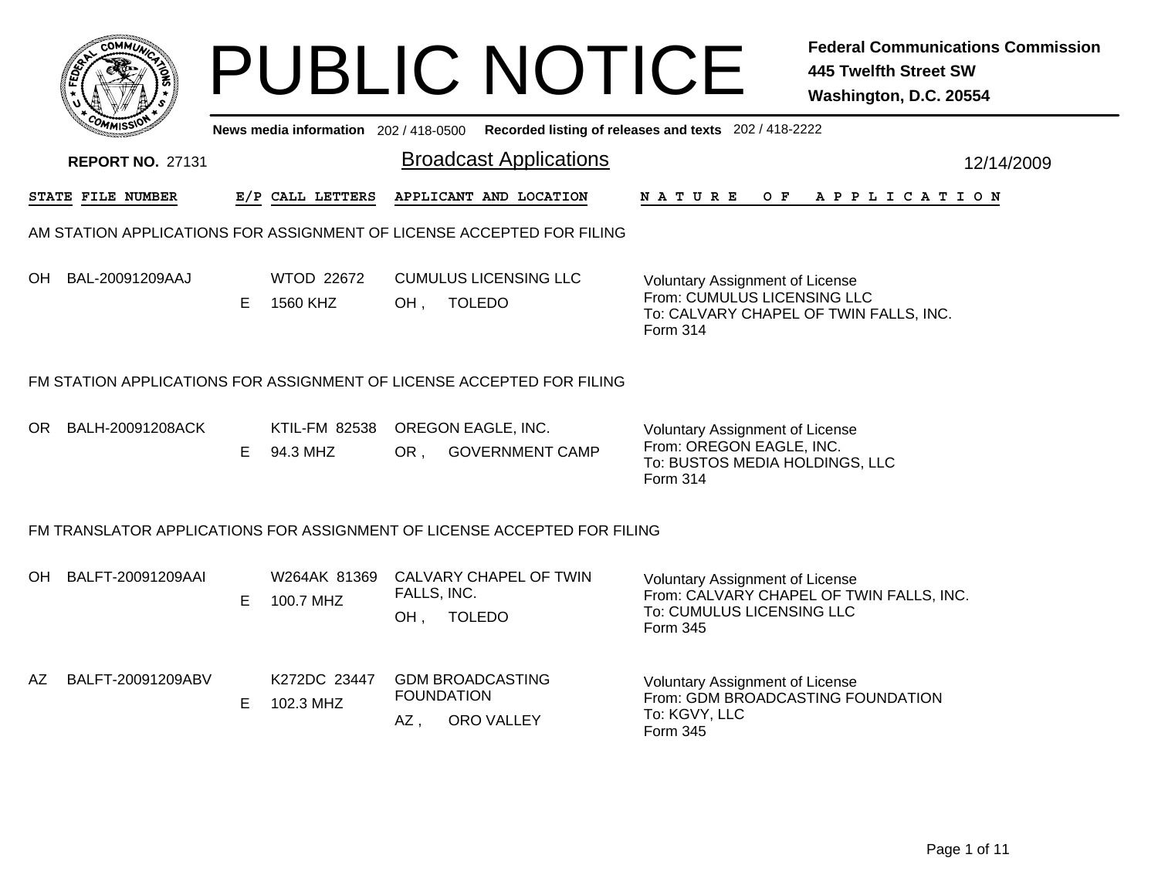| CO.<br><b>MUNI</b> |  |
|--------------------|--|
| ુ<br>FEDET         |  |
|                    |  |
| $c_{\alpha}$       |  |
| MISS'<br>77555     |  |

## PUBLIC NOTICE **Federal Communications Commission 445 Twelfth Street SW Washington, D.C. 20554**

|           | <b>MMISS</b>            |    |                                  |                          |                                                                          | News media information 202 / 418-0500 Recorded listing of releases and texts 202 / 418-2222                                 |            |
|-----------|-------------------------|----|----------------------------------|--------------------------|--------------------------------------------------------------------------|-----------------------------------------------------------------------------------------------------------------------------|------------|
|           | <b>REPORT NO. 27131</b> |    |                                  |                          | <b>Broadcast Applications</b>                                            |                                                                                                                             | 12/14/2009 |
|           | STATE FILE NUMBER       |    | E/P CALL LETTERS                 |                          | APPLICANT AND LOCATION                                                   | <b>NATURE</b><br>O F<br>A P P L I C A T I O N                                                                               |            |
|           |                         |    |                                  |                          | AM STATION APPLICATIONS FOR ASSIGNMENT OF LICENSE ACCEPTED FOR FILING    |                                                                                                                             |            |
| <b>OH</b> | BAL-20091209AAJ         | E. | <b>WTOD 22672</b><br>1560 KHZ    | OH,                      | <b>CUMULUS LICENSING LLC</b><br><b>TOLEDO</b>                            | <b>Voluntary Assignment of License</b><br>From: CUMULUS LICENSING LLC<br>To: CALVARY CHAPEL OF TWIN FALLS, INC.<br>Form 314 |            |
|           |                         |    |                                  |                          | FM STATION APPLICATIONS FOR ASSIGNMENT OF LICENSE ACCEPTED FOR FILING    |                                                                                                                             |            |
| OR.       | BALH-20091208ACK        | E. | <b>KTIL-FM 82538</b><br>94.3 MHZ | OR,                      | OREGON EAGLE, INC.<br><b>GOVERNMENT CAMP</b>                             | <b>Voluntary Assignment of License</b><br>From: OREGON EAGLE, INC.<br>To: BUSTOS MEDIA HOLDINGS, LLC<br>Form 314            |            |
|           |                         |    |                                  |                          | FM TRANSLATOR APPLICATIONS FOR ASSIGNMENT OF LICENSE ACCEPTED FOR FILING |                                                                                                                             |            |
| OH.       | BALFT-20091209AAI       | E. | W264AK 81369<br>100.7 MHZ        | FALLS, INC.<br>OH,       | CALVARY CHAPEL OF TWIN<br><b>TOLEDO</b>                                  | <b>Voluntary Assignment of License</b><br>From: CALVARY CHAPEL OF TWIN FALLS, INC.<br>To: CUMULUS LICENSING LLC<br>Form 345 |            |
| AZ.       | BALFT-20091209ABV       | E  | K272DC 23447<br>102.3 MHZ        | <b>FOUNDATION</b><br>AZ, | <b>GDM BROADCASTING</b><br>ORO VALLEY                                    | <b>Voluntary Assignment of License</b><br>From: GDM BROADCASTING FOUNDATION<br>To: KGVY, LLC<br>Form 345                    |            |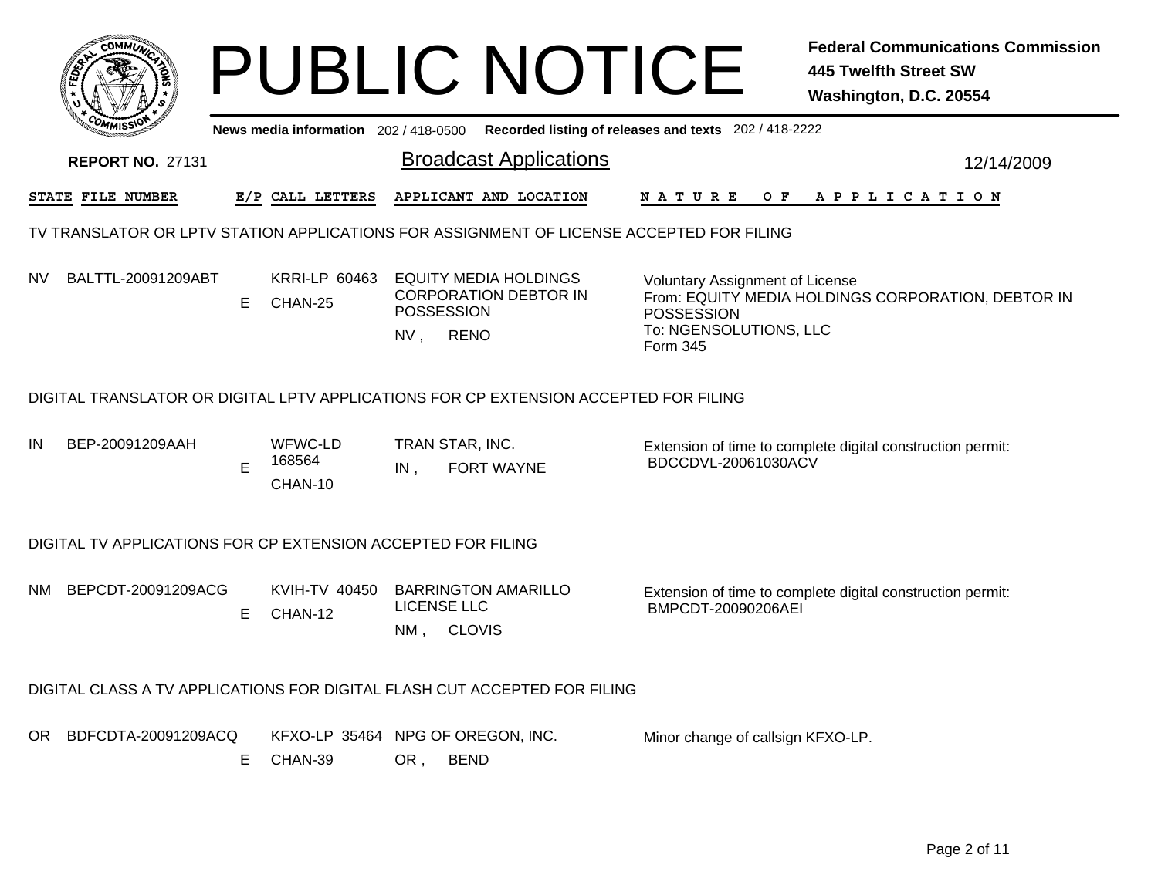|                                                                                          |    |                                 |        | <b>PUBLIC NOTICE</b>                                                                        |                                                             | <b>Federal Communications Commission</b><br><b>445 Twelfth Street SW</b><br>Washington, D.C. 20554 |
|------------------------------------------------------------------------------------------|----|---------------------------------|--------|---------------------------------------------------------------------------------------------|-------------------------------------------------------------|----------------------------------------------------------------------------------------------------|
|                                                                                          |    |                                 |        | News media information 202 / 418-0500 Recorded listing of releases and texts 202 / 418-2222 |                                                             |                                                                                                    |
| <b>REPORT NO. 27131</b>                                                                  |    |                                 |        | <b>Broadcast Applications</b>                                                               |                                                             | 12/14/2009                                                                                         |
| STATE FILE NUMBER                                                                        |    | E/P CALL LETTERS                |        | APPLICANT AND LOCATION                                                                      | N A T U R E                                                 | OF APPLICATION                                                                                     |
| TV TRANSLATOR OR LPTV STATION APPLICATIONS FOR ASSIGNMENT OF LICENSE ACCEPTED FOR FILING |    |                                 |        |                                                                                             |                                                             |                                                                                                    |
| BALTTL-20091209ABT<br>NV.                                                                | E. | KRRI-LP 60463<br>CHAN-25        |        | <b>EQUITY MEDIA HOLDINGS</b><br><b>CORPORATION DEBTOR IN</b><br><b>POSSESSION</b>           | <b>Voluntary Assignment of License</b><br><b>POSSESSION</b> | From: EQUITY MEDIA HOLDINGS CORPORATION, DEBTOR IN                                                 |
|                                                                                          |    |                                 | $NV$ , | <b>RENO</b>                                                                                 | To: NGENSOLUTIONS, LLC<br>Form 345                          |                                                                                                    |
| DIGITAL TRANSLATOR OR DIGITAL LPTV APPLICATIONS FOR CP EXTENSION ACCEPTED FOR FILING     |    |                                 |        |                                                                                             |                                                             |                                                                                                    |
| BEP-20091209AAH<br>IN                                                                    | E  | WFWC-LD<br>168564<br>CHAN-10    | $IN$ , | TRAN STAR, INC.<br><b>FORT WAYNE</b>                                                        | BDCCDVL-20061030ACV                                         | Extension of time to complete digital construction permit:                                         |
| DIGITAL TV APPLICATIONS FOR CP EXTENSION ACCEPTED FOR FILING                             |    |                                 |        |                                                                                             |                                                             |                                                                                                    |
| BEPCDT-20091209ACG<br>NM.                                                                | E  | <b>KVIH-TV 40450</b><br>CHAN-12 | NM,    | <b>BARRINGTON AMARILLO</b><br><b>LICENSE LLC</b><br><b>CLOVIS</b>                           | BMPCDT-20090206AEI                                          | Extension of time to complete digital construction permit:                                         |
| DIGITAL CLASS A TV APPLICATIONS FOR DIGITAL FLASH CUT ACCEPTED FOR FILING                |    |                                 |        |                                                                                             |                                                             |                                                                                                    |
| BDFCDTA-20091209ACQ<br>OR.                                                               | E. | CHAN-39                         | OR,    | KFXO-LP 35464 NPG OF OREGON, INC.<br><b>BEND</b>                                            | Minor change of callsign KFXO-LP.                           |                                                                                                    |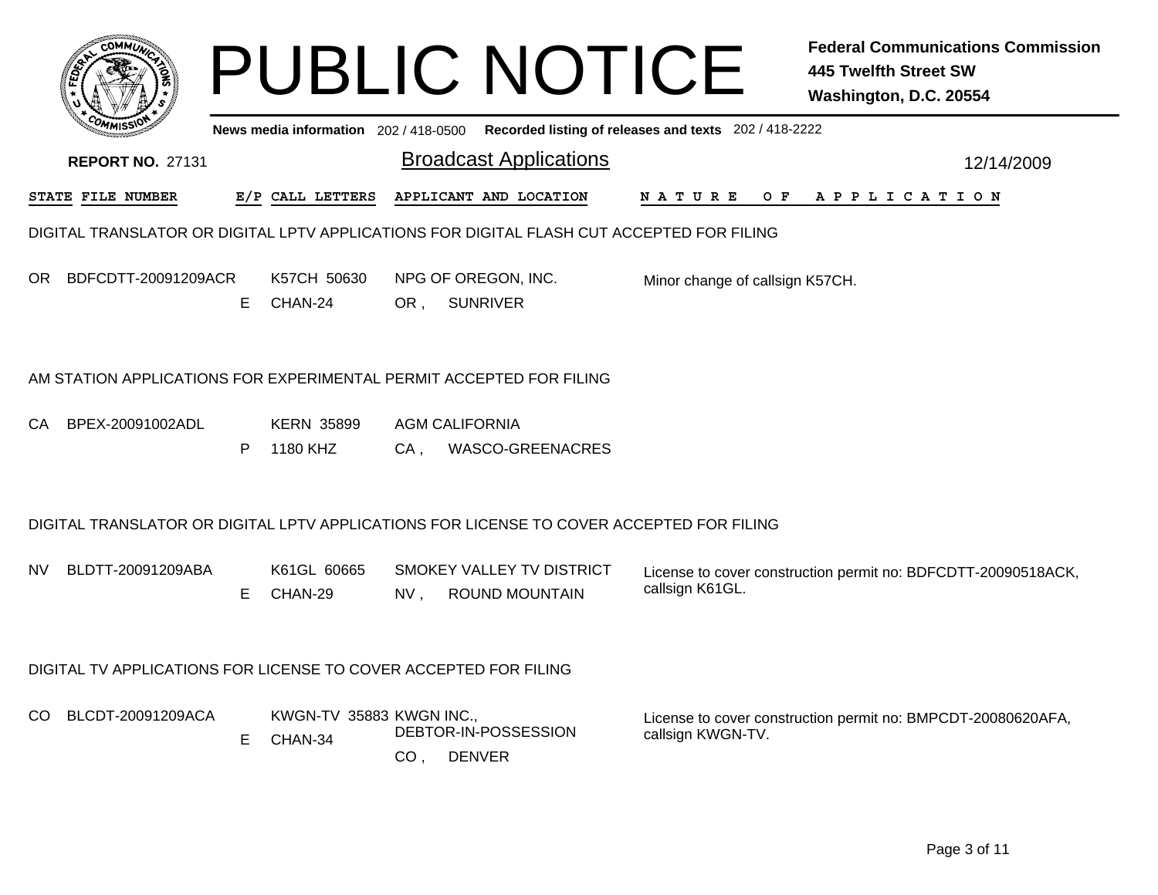|           |                                                                  |    |                                     |                 | <b>PUBLIC NOTICE</b>                                                                      |                                                       | <b>Federal Communications Commission</b><br><b>445 Twelfth Street SW</b><br>Washington, D.C. 20554 |
|-----------|------------------------------------------------------------------|----|-------------------------------------|-----------------|-------------------------------------------------------------------------------------------|-------------------------------------------------------|----------------------------------------------------------------------------------------------------|
|           |                                                                  |    | News media information 202/418-0500 |                 |                                                                                           | Recorded listing of releases and texts 202 / 418-2222 |                                                                                                    |
|           | <b>REPORT NO. 27131</b>                                          |    |                                     |                 | <b>Broadcast Applications</b>                                                             |                                                       | 12/14/2009                                                                                         |
|           | STATE FILE NUMBER                                                |    | E/P CALL LETTERS                    |                 | APPLICANT AND LOCATION                                                                    | N A T U R E<br>O F                                    | A P P L I C A T I O N                                                                              |
|           |                                                                  |    |                                     |                 | DIGITAL TRANSLATOR OR DIGITAL LPTV APPLICATIONS FOR DIGITAL FLASH CUT ACCEPTED FOR FILING |                                                       |                                                                                                    |
| OR.       | BDFCDTT-20091209ACR                                              | E. | K57CH 50630<br>CHAN-24              | OR ,            | NPG OF OREGON, INC.<br><b>SUNRIVER</b>                                                    | Minor change of callsign K57CH.                       |                                                                                                    |
|           |                                                                  |    |                                     |                 | AM STATION APPLICATIONS FOR EXPERIMENTAL PERMIT ACCEPTED FOR FILING                       |                                                       |                                                                                                    |
| <b>CA</b> | BPEX-20091002ADL                                                 | P  | <b>KERN 35899</b><br>1180 KHZ       | CA.             | <b>AGM CALIFORNIA</b><br>WASCO-GREENACRES                                                 |                                                       |                                                                                                    |
|           |                                                                  |    |                                     |                 | DIGITAL TRANSLATOR OR DIGITAL LPTV APPLICATIONS FOR LICENSE TO COVER ACCEPTED FOR FILING  |                                                       |                                                                                                    |
| NV.       | BLDTT-20091209ABA                                                | Е  | K61GL 60665<br>CHAN-29              | NV,             | SMOKEY VALLEY TV DISTRICT<br>ROUND MOUNTAIN                                               | callsign K61GL.                                       | License to cover construction permit no: BDFCDTT-20090518ACK,                                      |
|           | DIGITAL TV APPLICATIONS FOR LICENSE TO COVER ACCEPTED FOR FILING |    |                                     |                 |                                                                                           |                                                       |                                                                                                    |
| CO.       | BLCDT-20091209ACA                                                | E. | KWGN-TV 35883 KWGN INC.,<br>CHAN-34 | CO <sub>1</sub> | DEBTOR-IN-POSSESSION<br><b>DENVER</b>                                                     | callsign KWGN-TV.                                     | License to cover construction permit no: BMPCDT-20080620AFA,                                       |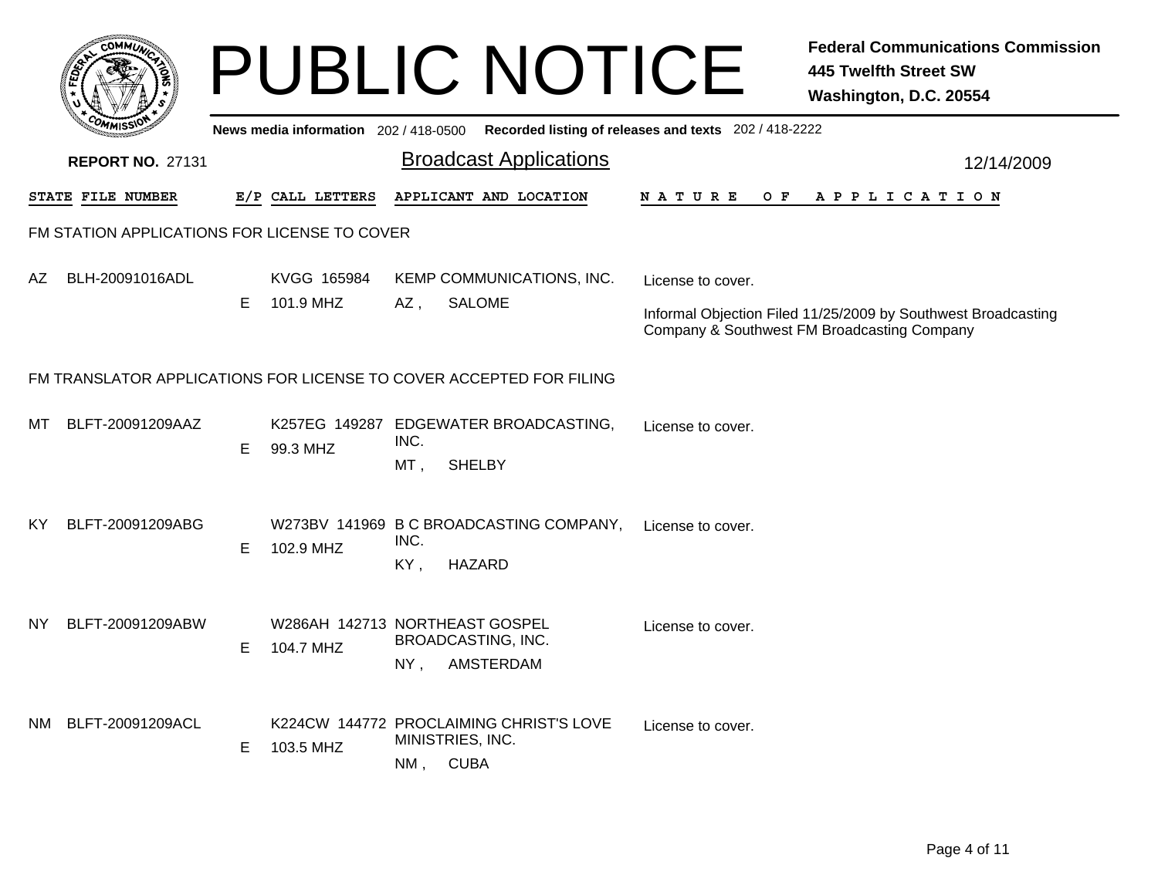|     |                                              |    |                                     | <b>PUBLIC NOTICE</b>                                                              |                                                       | <b>Federal Communications Commission</b><br><b>445 Twelfth Street SW</b><br>Washington, D.C. 20554           |
|-----|----------------------------------------------|----|-------------------------------------|-----------------------------------------------------------------------------------|-------------------------------------------------------|--------------------------------------------------------------------------------------------------------------|
|     |                                              |    | News media information 202/418-0500 |                                                                                   | Recorded listing of releases and texts 202 / 418-2222 |                                                                                                              |
|     | <b>REPORT NO. 27131</b>                      |    |                                     | <b>Broadcast Applications</b>                                                     |                                                       | 12/14/2009                                                                                                   |
|     | STATE FILE NUMBER                            |    | E/P CALL LETTERS                    | APPLICANT AND LOCATION                                                            | N A T U R E<br>O F                                    | A P P L I C A T I O N                                                                                        |
|     | FM STATION APPLICATIONS FOR LICENSE TO COVER |    |                                     |                                                                                   |                                                       |                                                                                                              |
| AZ. | BLH-20091016ADL                              | E. | KVGG 165984<br>101.9 MHZ            | KEMP COMMUNICATIONS, INC.<br><b>SALOME</b><br>AZ,                                 | License to cover.                                     | Informal Objection Filed 11/25/2009 by Southwest Broadcasting<br>Company & Southwest FM Broadcasting Company |
|     |                                              |    |                                     | FM TRANSLATOR APPLICATIONS FOR LICENSE TO COVER ACCEPTED FOR FILING               |                                                       |                                                                                                              |
| ML  | BLFT-20091209AAZ                             | E. | 99.3 MHZ                            | K257EG 149287 EDGEWATER BROADCASTING,<br>INC.<br>MT,<br><b>SHELBY</b>             | License to cover.                                     |                                                                                                              |
| KY. | BLFT-20091209ABG                             | E. | 102.9 MHZ                           | W273BV 141969 B C BROADCASTING COMPANY,<br>INC.<br>KY,<br><b>HAZARD</b>           | License to cover.                                     |                                                                                                              |
| NY. | BLFT-20091209ABW                             | E. | 104.7 MHZ                           | W286AH 142713 NORTHEAST GOSPEL<br>BROADCASTING, INC.<br>AMSTERDAM<br>NY.          | License to cover.                                     |                                                                                                              |
| NM. | BLFT-20091209ACL                             | E  | 103.5 MHZ                           | K224CW 144772 PROCLAIMING CHRIST'S LOVE<br>MINISTRIES, INC.<br><b>CUBA</b><br>NM, | License to cover.                                     |                                                                                                              |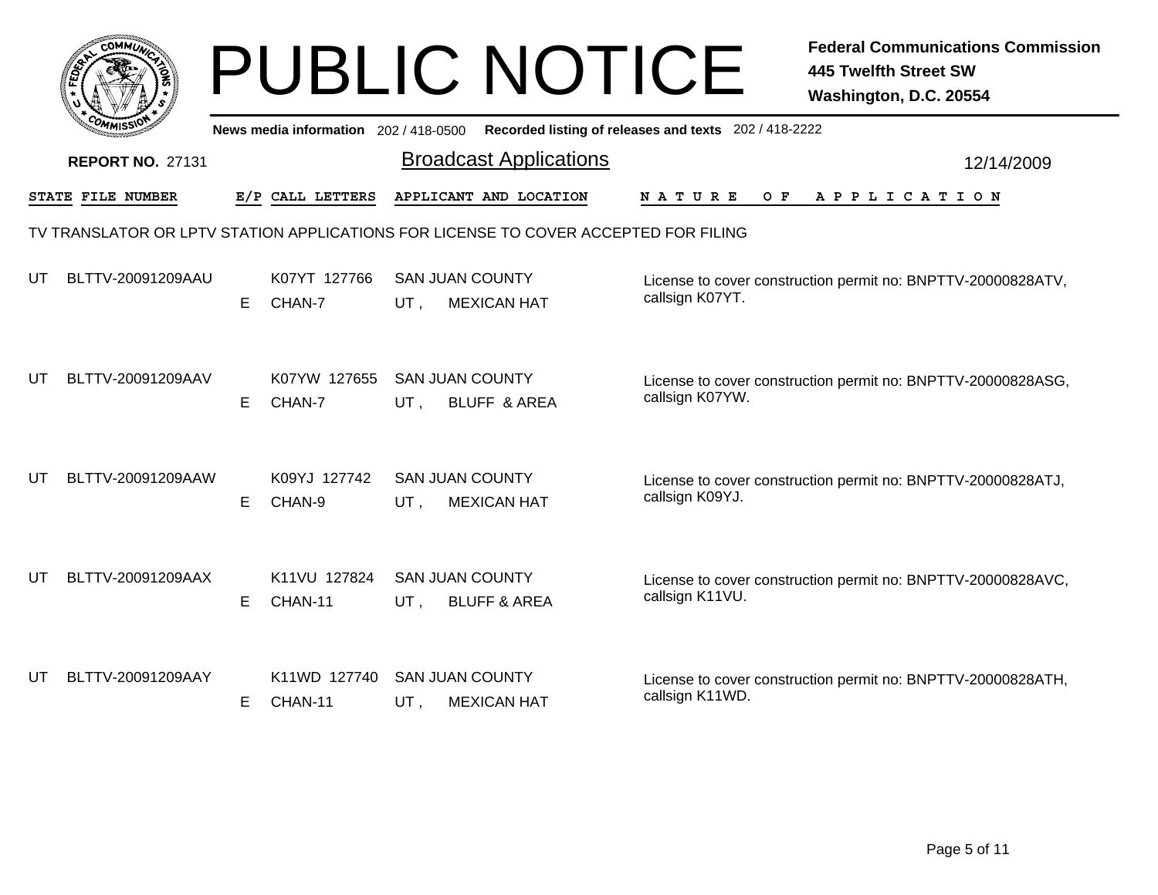|     | $_{\rm c}$ OMM $_{\rm U1}$ |    |                                     |     | <b>PUBLIC NOTICE</b>                                                                |                                                       | <b>Federal Communications Commission</b><br>445 Twelfth Street SW<br>Washington, D.C. 20554 |
|-----|----------------------------|----|-------------------------------------|-----|-------------------------------------------------------------------------------------|-------------------------------------------------------|---------------------------------------------------------------------------------------------|
|     |                            |    | News media information 202/418-0500 |     |                                                                                     | Recorded listing of releases and texts 202 / 418-2222 |                                                                                             |
|     | <b>REPORT NO. 27131</b>    |    |                                     |     | <b>Broadcast Applications</b>                                                       |                                                       | 12/14/2009                                                                                  |
|     | <b>STATE FILE NUMBER</b>   |    | E/P CALL LETTERS                    |     | APPLICANT AND LOCATION                                                              | N A T U R E<br>O F                                    | A P P L I C A T I O N                                                                       |
|     |                            |    |                                     |     | TV TRANSLATOR OR LPTV STATION APPLICATIONS FOR LICENSE TO COVER ACCEPTED FOR FILING |                                                       |                                                                                             |
| UT. | BLTTV-20091209AAU          | E. | K07YT 127766<br>CHAN-7              | UT, | <b>SAN JUAN COUNTY</b><br><b>MEXICAN HAT</b>                                        | callsign K07YT.                                       | License to cover construction permit no: BNPTTV-20000828ATV,                                |
| UT  | BLTTV-20091209AAV          | E. | K07YW 127655<br>CHAN-7              | UT, | <b>SAN JUAN COUNTY</b><br><b>BLUFF &amp; AREA</b>                                   | callsign K07YW.                                       | License to cover construction permit no: BNPTTV-20000828ASG,                                |
| UT  | BLTTV-20091209AAW          | E. | K09YJ 127742<br>CHAN-9              | UT. | <b>SAN JUAN COUNTY</b><br><b>MEXICAN HAT</b>                                        | callsign K09YJ.                                       | License to cover construction permit no: BNPTTV-20000828ATJ,                                |
| UT. | BLTTV-20091209AAX          | E  | K11VU 127824<br>CHAN-11             | UT, | <b>SAN JUAN COUNTY</b><br><b>BLUFF &amp; AREA</b>                                   | callsign K11VU.                                       | License to cover construction permit no: BNPTTV-20000828AVC,                                |
| UTI | BLTTV-20091209AAY          | E. | K11WD 127740<br>CHAN-11             | UT, | <b>SAN JUAN COUNTY</b><br><b>MEXICAN HAT</b>                                        | callsign K11WD.                                       | License to cover construction permit no: BNPTTV-20000828ATH,                                |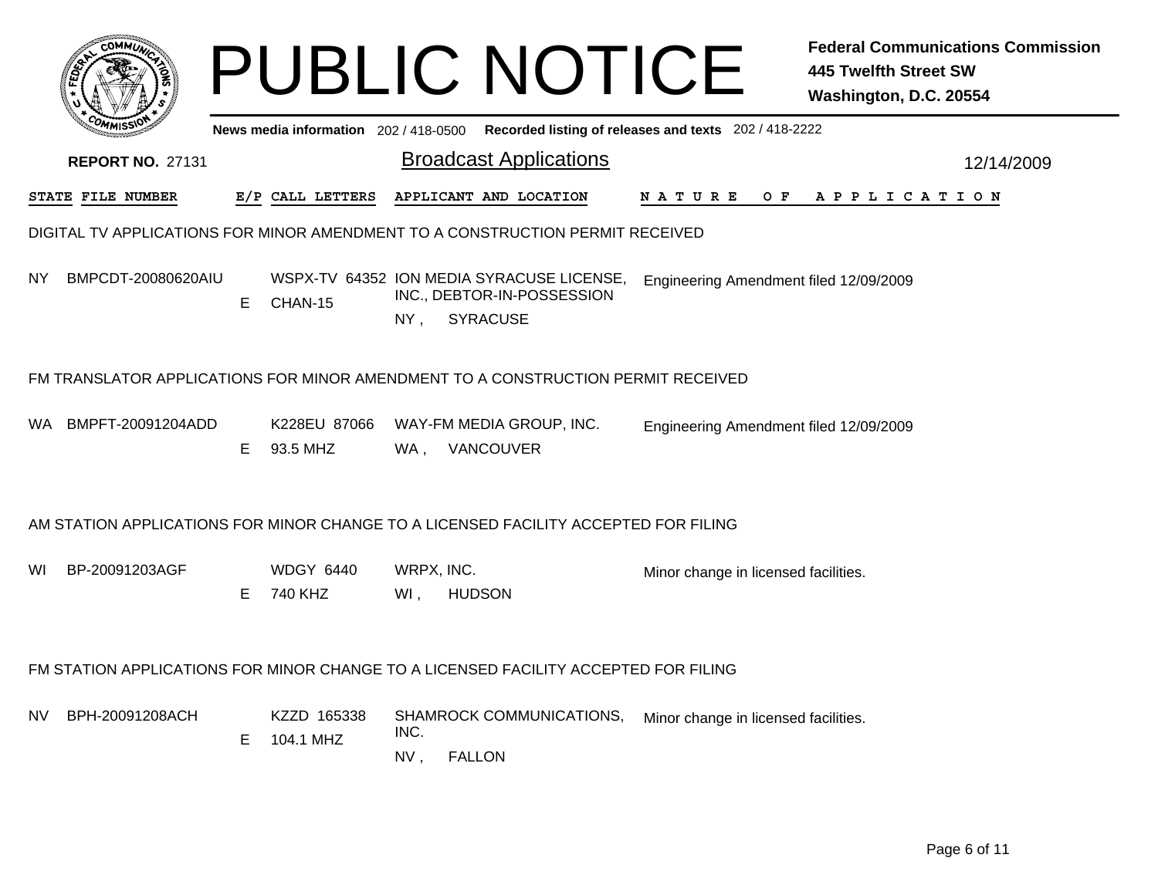|     |                                                                                     |    |                             |                   | <b>PUBLIC NOTICE</b>                                                                       |                                                                                         | <b>Federal Communications Commission</b><br><b>445 Twelfth Street SW</b><br>Washington, D.C. 20554 |
|-----|-------------------------------------------------------------------------------------|----|-----------------------------|-------------------|--------------------------------------------------------------------------------------------|-----------------------------------------------------------------------------------------|----------------------------------------------------------------------------------------------------|
|     |                                                                                     |    |                             |                   |                                                                                            | News media information 202/418-0500 Recorded listing of releases and texts 202/418-2222 |                                                                                                    |
|     | <b>REPORT NO. 27131</b>                                                             |    |                             |                   | <b>Broadcast Applications</b>                                                              |                                                                                         | 12/14/2009                                                                                         |
|     | <b>STATE FILE NUMBER</b>                                                            |    | E/P CALL LETTERS            |                   | APPLICANT AND LOCATION                                                                     | N A T U R E<br>O F                                                                      | A P P L I C A T I O N                                                                              |
|     | DIGITAL TV APPLICATIONS FOR MINOR AMENDMENT TO A CONSTRUCTION PERMIT RECEIVED       |    |                             |                   |                                                                                            |                                                                                         |                                                                                                    |
| NY. | BMPCDT-20080620AIU                                                                  | E  | CHAN-15                     | $NY$ ,            | WSPX-TV 64352 ION MEDIA SYRACUSE LICENSE,<br>INC., DEBTOR-IN-POSSESSION<br><b>SYRACUSE</b> | Engineering Amendment filed 12/09/2009                                                  |                                                                                                    |
|     | FM TRANSLATOR APPLICATIONS FOR MINOR AMENDMENT TO A CONSTRUCTION PERMIT RECEIVED    |    |                             |                   |                                                                                            |                                                                                         |                                                                                                    |
| WA. | BMPFT-20091204ADD                                                                   | E. | K228EU 87066<br>93.5 MHZ    | WA ,              | WAY-FM MEDIA GROUP, INC.<br>VANCOUVER                                                      | Engineering Amendment filed 12/09/2009                                                  |                                                                                                    |
|     | AM STATION APPLICATIONS FOR MINOR CHANGE TO A LICENSED FACILITY ACCEPTED FOR FILING |    |                             |                   |                                                                                            |                                                                                         |                                                                                                    |
| WI  | BP-20091203AGF                                                                      | E. | <b>WDGY 6440</b><br>740 KHZ | WRPX, INC.<br>Wl, | <b>HUDSON</b>                                                                              | Minor change in licensed facilities.                                                    |                                                                                                    |
|     | FM STATION APPLICATIONS FOR MINOR CHANGE TO A LICENSED FACILITY ACCEPTED FOR FILING |    |                             |                   |                                                                                            |                                                                                         |                                                                                                    |
| NV. | BPH-20091208ACH                                                                     | E. | KZZD 165338<br>104.1 MHZ    | INC.<br>NV,       | SHAMROCK COMMUNICATIONS,<br><b>FALLON</b>                                                  | Minor change in licensed facilities.                                                    |                                                                                                    |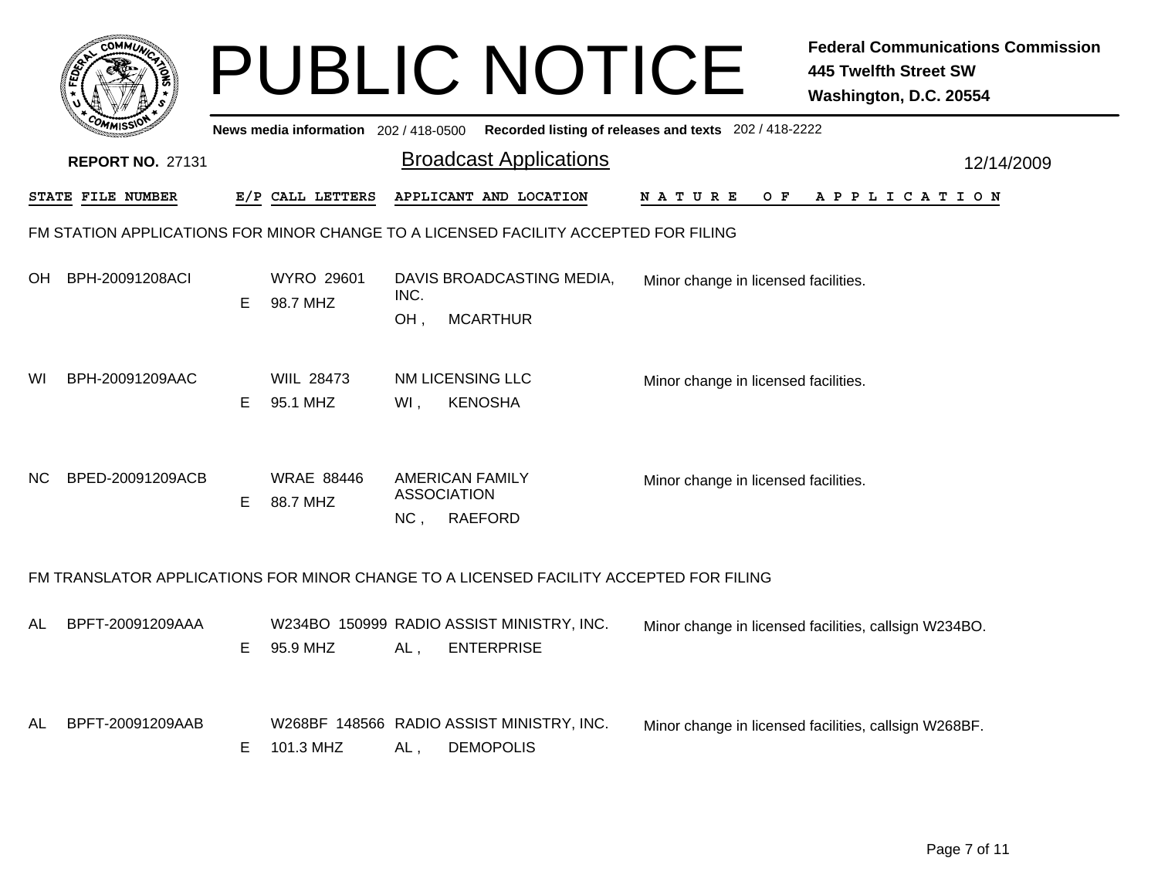|     |                         |   |                                       |                           | <b>PUBLIC NOTICE</b>                                                                   |                                                       | <b>Federal Communications Commission</b><br><b>445 Twelfth Street SW</b><br>Washington, D.C. 20554 |
|-----|-------------------------|---|---------------------------------------|---------------------------|----------------------------------------------------------------------------------------|-------------------------------------------------------|----------------------------------------------------------------------------------------------------|
|     |                         |   | News media information 202 / 418-0500 |                           |                                                                                        | Recorded listing of releases and texts 202 / 418-2222 |                                                                                                    |
|     | <b>REPORT NO. 27131</b> |   |                                       |                           | <b>Broadcast Applications</b>                                                          |                                                       | 12/14/2009                                                                                         |
|     | STATE FILE NUMBER       |   | E/P CALL LETTERS                      |                           | APPLICANT AND LOCATION                                                                 | N A T U R E<br>O F                                    | A P P L I C A T I O N                                                                              |
|     |                         |   |                                       |                           | FM STATION APPLICATIONS FOR MINOR CHANGE TO A LICENSED FACILITY ACCEPTED FOR FILING    |                                                       |                                                                                                    |
| OH. | BPH-20091208ACI         | Е | <b>WYRO 29601</b><br>98.7 MHZ         | INC.<br>OH,               | DAVIS BROADCASTING MEDIA,<br><b>MCARTHUR</b>                                           | Minor change in licensed facilities.                  |                                                                                                    |
| WI  | BPH-20091209AAC         | Е | <b>WIIL 28473</b><br>95.1 MHZ         | $WI$ ,                    | <b>NM LICENSING LLC</b><br><b>KENOSHA</b>                                              | Minor change in licensed facilities.                  |                                                                                                    |
| NC. | BPED-20091209ACB        | Е | <b>WRAE 88446</b><br>88.7 MHZ         | <b>ASSOCIATION</b><br>NC, | <b>AMERICAN FAMILY</b><br><b>RAEFORD</b>                                               | Minor change in licensed facilities.                  |                                                                                                    |
|     |                         |   |                                       |                           | FM TRANSLATOR APPLICATIONS FOR MINOR CHANGE TO A LICENSED FACILITY ACCEPTED FOR FILING |                                                       |                                                                                                    |
| AL  | BPFT-20091209AAA        | E | 95.9 MHZ                              | AL,                       | W234BO 150999 RADIO ASSIST MINISTRY, INC.<br><b>ENTERPRISE</b>                         |                                                       | Minor change in licensed facilities, callsign W234BO.                                              |
| AL  | BPFT-20091209AAB        | Е | 101.3 MHZ                             | AL,                       | W268BF 148566 RADIO ASSIST MINISTRY, INC.<br><b>DEMOPOLIS</b>                          |                                                       | Minor change in licensed facilities, callsign W268BF.                                              |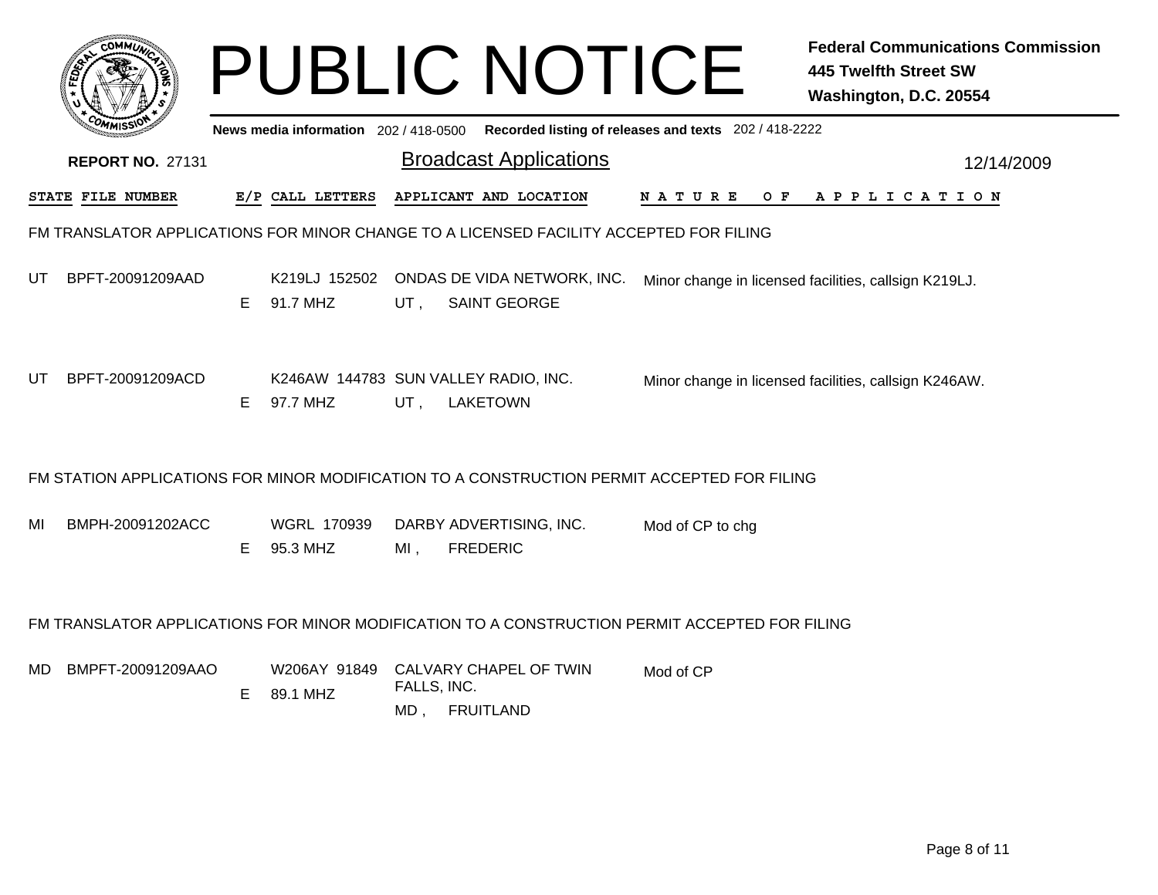|    | <b>COMMU</b>            |    |                                     |                    | <b>PUBLIC NOTICE</b>                                                                           |                                                       | <b>Federal Communications Commission</b><br><b>445 Twelfth Street SW</b><br>Washington, D.C. 20554 |
|----|-------------------------|----|-------------------------------------|--------------------|------------------------------------------------------------------------------------------------|-------------------------------------------------------|----------------------------------------------------------------------------------------------------|
|    |                         |    | News media information 202/418-0500 |                    |                                                                                                | Recorded listing of releases and texts 202 / 418-2222 |                                                                                                    |
|    | <b>REPORT NO. 27131</b> |    |                                     |                    | <b>Broadcast Applications</b>                                                                  |                                                       | 12/14/2009                                                                                         |
|    | STATE FILE NUMBER       |    | E/P CALL LETTERS                    |                    | APPLICANT AND LOCATION                                                                         | N A T U R E                                           | OF APPLICATION                                                                                     |
|    |                         |    |                                     |                    | FM TRANSLATOR APPLICATIONS FOR MINOR CHANGE TO A LICENSED FACILITY ACCEPTED FOR FILING         |                                                       |                                                                                                    |
| UT | BPFT-20091209AAD        | E. | K219LJ 152502<br>91.7 MHZ           | $UT$ ,             | ONDAS DE VIDA NETWORK, INC.<br><b>SAINT GEORGE</b>                                             |                                                       | Minor change in licensed facilities, callsign K219LJ.                                              |
| UT | BPFT-20091209ACD        | E. | 97.7 MHZ                            | $UT$ ,             | K246AW 144783 SUN VALLEY RADIO, INC.<br>LAKETOWN                                               |                                                       | Minor change in licensed facilities, callsign K246AW.                                              |
|    |                         |    |                                     |                    | FM STATION APPLICATIONS FOR MINOR MODIFICATION TO A CONSTRUCTION PERMIT ACCEPTED FOR FILING    |                                                       |                                                                                                    |
| MI | BMPH-20091202ACC        | Е  | <b>WGRL 170939</b><br>95.3 MHZ      | $MI$ ,             | DARBY ADVERTISING, INC.<br><b>FREDERIC</b>                                                     | Mod of CP to chg                                      |                                                                                                    |
|    |                         |    |                                     |                    | FM TRANSLATOR APPLICATIONS FOR MINOR MODIFICATION TO A CONSTRUCTION PERMIT ACCEPTED FOR FILING |                                                       |                                                                                                    |
| MD | BMPFT-20091209AAO       | E. | W206AY 91849<br>89.1 MHZ            | FALLS, INC.<br>MD, | CALVARY CHAPEL OF TWIN<br><b>FRUITLAND</b>                                                     | Mod of CP                                             |                                                                                                    |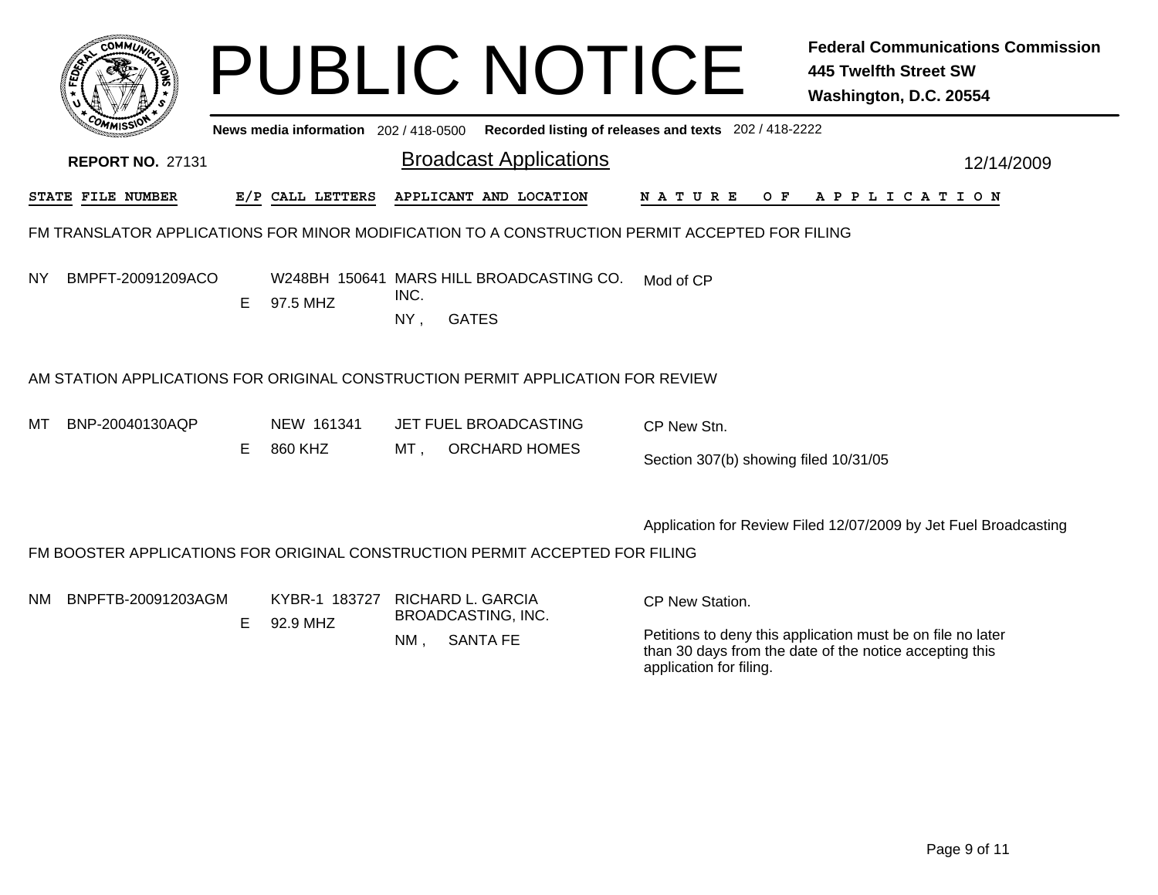|           | сомми                   |    | News media information $202/418-0500$ |                | <b>PUBLIC NOTICE</b>                                                                           | Recorded listing of releases and texts 202 / 418-2222 | <b>Federal Communications Commission</b><br><b>445 Twelfth Street SW</b><br>Washington, D.C. 20554                     |
|-----------|-------------------------|----|---------------------------------------|----------------|------------------------------------------------------------------------------------------------|-------------------------------------------------------|------------------------------------------------------------------------------------------------------------------------|
|           | <b>REPORT NO. 27131</b> |    |                                       |                | <b>Broadcast Applications</b>                                                                  |                                                       | 12/14/2009                                                                                                             |
|           |                         |    |                                       |                |                                                                                                |                                                       |                                                                                                                        |
|           | STATE FILE NUMBER       |    | E/P CALL LETTERS                      |                | APPLICANT AND LOCATION                                                                         | <b>NATURE</b><br>O F                                  | A P P L I C A T I O N                                                                                                  |
|           |                         |    |                                       |                | FM TRANSLATOR APPLICATIONS FOR MINOR MODIFICATION TO A CONSTRUCTION PERMIT ACCEPTED FOR FILING |                                                       |                                                                                                                        |
| <b>NY</b> | BMPFT-20091209ACO       | E. | 97.5 MHZ                              | INC.<br>$NY$ , | W248BH 150641 MARS HILL BROADCASTING CO.<br><b>GATES</b>                                       | Mod of CP                                             |                                                                                                                        |
|           |                         |    |                                       |                | AM STATION APPLICATIONS FOR ORIGINAL CONSTRUCTION PERMIT APPLICATION FOR REVIEW                |                                                       |                                                                                                                        |
| мт        | BNP-20040130AQP         |    | NEW 161341                            |                | JET FUEL BROADCASTING                                                                          | CP New Stn.                                           |                                                                                                                        |
|           |                         | E. | 860 KHZ                               | MT,            | <b>ORCHARD HOMES</b>                                                                           | Section 307(b) showing filed 10/31/05                 |                                                                                                                        |
|           |                         |    |                                       |                |                                                                                                |                                                       | Application for Review Filed 12/07/2009 by Jet Fuel Broadcasting                                                       |
|           |                         |    |                                       |                | FM BOOSTER APPLICATIONS FOR ORIGINAL CONSTRUCTION PERMIT ACCEPTED FOR FILING                   |                                                       |                                                                                                                        |
| NM.       | BNPFTB-20091203AGM      | E. | KYBR-1 183727<br>92.9 MHZ             |                | RICHARD L. GARCIA<br><b>BROADCASTING, INC.</b>                                                 | CP New Station.                                       |                                                                                                                        |
|           |                         |    |                                       | NM,            | <b>SANTA FE</b>                                                                                |                                                       | Petitions to deny this application must be on file no later<br>than 30 days from the date of the notice accepting this |

application for filing.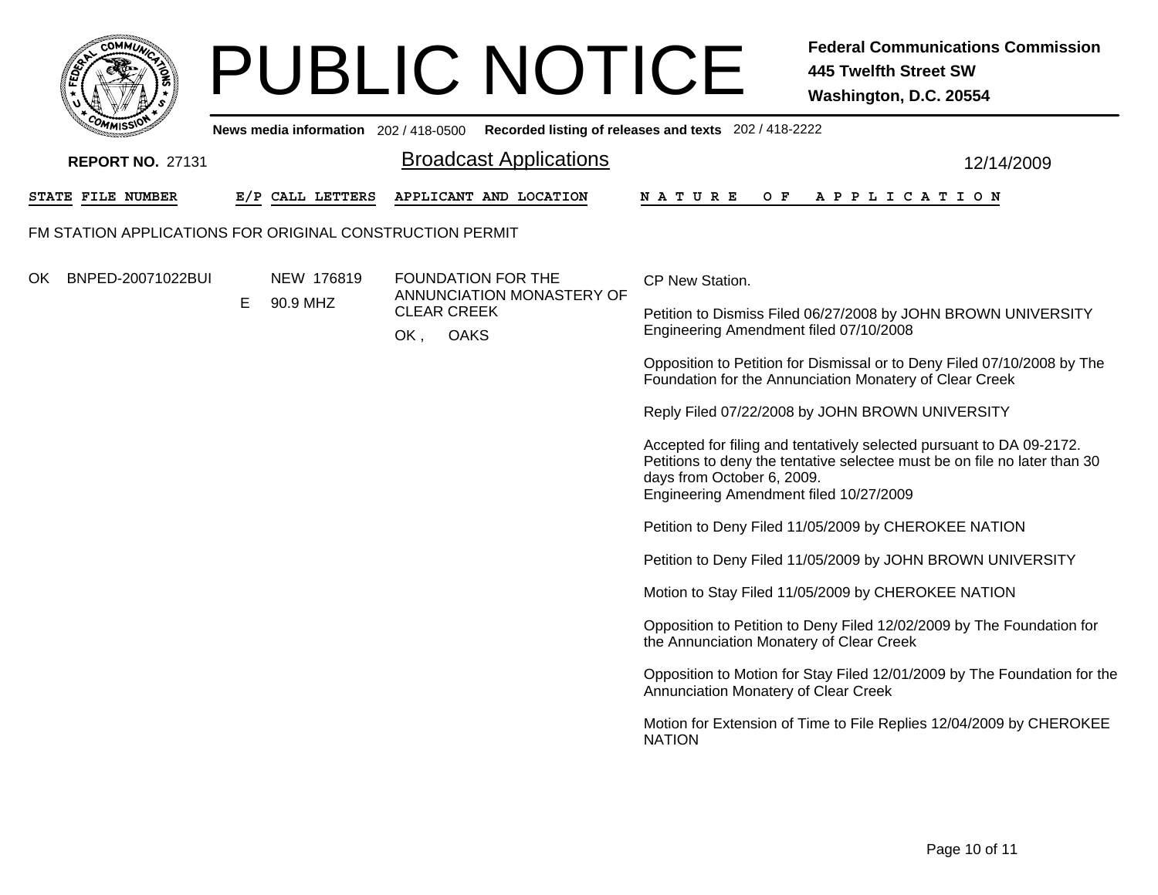

## PUBLIC NOTICE **Federal Communications Commission 445 Twelfth Street SW Washington, D.C. 20554**

|     | <b><i>CMMISSION</i></b>                                  |    |                  |                           | News media information 202 / 418-0500 Recorded listing of releases and texts 202 / 418-2222 |               |                                                                      |     |  |  |  |                       |                                                                      |                                                                           |  |
|-----|----------------------------------------------------------|----|------------------|---------------------------|---------------------------------------------------------------------------------------------|---------------|----------------------------------------------------------------------|-----|--|--|--|-----------------------|----------------------------------------------------------------------|---------------------------------------------------------------------------|--|
|     | <b>REPORT NO. 27131</b>                                  |    |                  |                           | <b>Broadcast Applications</b>                                                               |               |                                                                      |     |  |  |  |                       | 12/14/2009                                                           |                                                                           |  |
|     | STATE FILE NUMBER                                        |    | E/P CALL LETTERS |                           | APPLICANT AND LOCATION                                                                      |               | NATURE                                                               | O F |  |  |  | A P P L I C A T I O N |                                                                      |                                                                           |  |
|     | FM STATION APPLICATIONS FOR ORIGINAL CONSTRUCTION PERMIT |    |                  |                           |                                                                                             |               |                                                                      |     |  |  |  |                       |                                                                      |                                                                           |  |
| OK. | BNPED-20071022BUI                                        |    | NEW 176819       |                           | <b>FOUNDATION FOR THE</b><br>ANNUNCIATION MONASTERY OF                                      |               | CP New Station.                                                      |     |  |  |  |                       |                                                                      |                                                                           |  |
|     |                                                          | E. | 90.9 MHZ         | <b>CLEAR CREEK</b><br>OK, | <b>OAKS</b>                                                                                 |               | Engineering Amendment filed 07/10/2008                               |     |  |  |  |                       |                                                                      | Petition to Dismiss Filed 06/27/2008 by JOHN BROWN UNIVERSITY             |  |
|     |                                                          |    |                  |                           |                                                                                             |               | Foundation for the Annunciation Monatery of Clear Creek              |     |  |  |  |                       |                                                                      | Opposition to Petition for Dismissal or to Deny Filed 07/10/2008 by The   |  |
|     |                                                          |    |                  |                           |                                                                                             |               | Reply Filed 07/22/2008 by JOHN BROWN UNIVERSITY                      |     |  |  |  |                       |                                                                      |                                                                           |  |
|     |                                                          |    |                  |                           |                                                                                             |               | days from October 6, 2009.<br>Engineering Amendment filed 10/27/2009 |     |  |  |  |                       | Accepted for filing and tentatively selected pursuant to DA 09-2172. | Petitions to deny the tentative selectee must be on file no later than 30 |  |
|     |                                                          |    |                  |                           |                                                                                             |               | Petition to Deny Filed 11/05/2009 by CHEROKEE NATION                 |     |  |  |  |                       |                                                                      |                                                                           |  |
|     |                                                          |    |                  |                           |                                                                                             |               |                                                                      |     |  |  |  |                       | Petition to Deny Filed 11/05/2009 by JOHN BROWN UNIVERSITY           |                                                                           |  |
|     |                                                          |    |                  |                           |                                                                                             |               | Motion to Stay Filed 11/05/2009 by CHEROKEE NATION                   |     |  |  |  |                       |                                                                      |                                                                           |  |
|     |                                                          |    |                  |                           |                                                                                             |               | the Annunciation Monatery of Clear Creek                             |     |  |  |  |                       |                                                                      | Opposition to Petition to Deny Filed 12/02/2009 by The Foundation for     |  |
|     |                                                          |    |                  |                           |                                                                                             |               | Annunciation Monatery of Clear Creek                                 |     |  |  |  |                       |                                                                      | Opposition to Motion for Stay Filed 12/01/2009 by The Foundation for the  |  |
|     |                                                          |    |                  |                           |                                                                                             | <b>NATION</b> |                                                                      |     |  |  |  |                       |                                                                      | Motion for Extension of Time to File Replies 12/04/2009 by CHEROKEE       |  |
|     |                                                          |    |                  |                           |                                                                                             |               |                                                                      |     |  |  |  |                       |                                                                      |                                                                           |  |